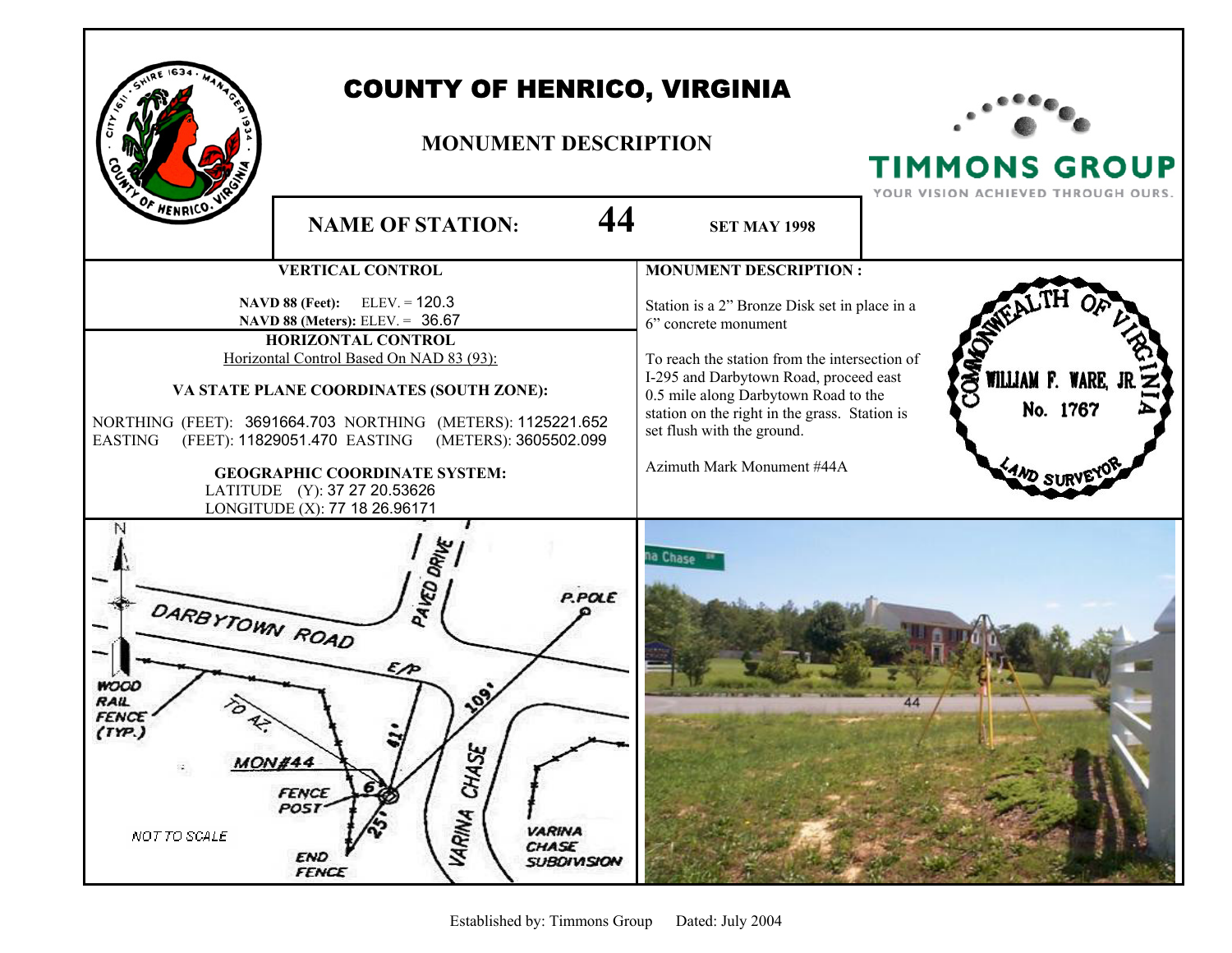

## COUNTY OF HENRICO, VIRGINIA

## **MONUMENT DESCRIPTION**



TIMMONS GROUP